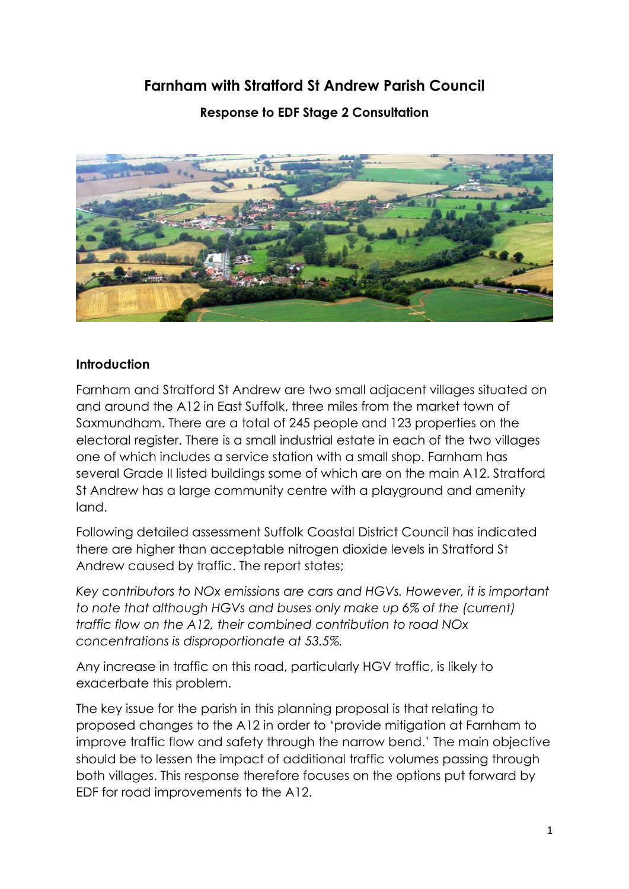# **Farnham with Stratford St Andrew Parish Council**

**Response to EDF Stage 2 Consultation**



#### **Introduction**

Farnham and Stratford St Andrew are two small adjacent villages situated on and around the A12 in East Suffolk, three miles from the market town of Saxmundham. There are a total of 245 people and 123 properties on the electoral register. There is a small industrial estate in each of the two villages one of which includes a service station with a small shop. Farnham has several Grade II listed buildings some of which are on the main A12. Stratford St Andrew has a large community centre with a playground and amenity land.

Following detailed assessment Suffolk Coastal District Council has indicated there are higher than acceptable nitrogen dioxide levels in Stratford St Andrew caused by traffic. The report states;

*Key contributors to NOx emissions are cars and HGVs. However, it is important to note that although HGVs and buses only make up 6% of the (current) traffic flow on the A12, their combined contribution to road NOx concentrations is disproportionate at 53.5%.*

Any increase in traffic on this road, particularly HGV traffic, is likely to exacerbate this problem.

The key issue for the parish in this planning proposal is that relating to proposed changes to the A12 in order to 'provide mitigation at Farnham to improve traffic flow and safety through the narrow bend.' The main objective should be to lessen the impact of additional traffic volumes passing through both villages. This response therefore focuses on the options put forward by EDF for road improvements to the A12.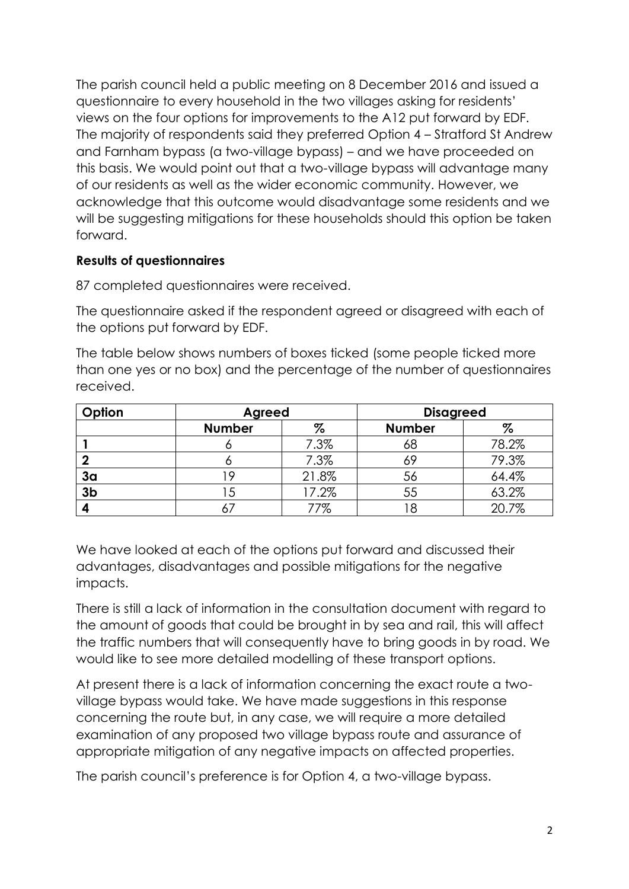The parish council held a public meeting on 8 December 2016 and issued a questionnaire to every household in the two villages asking for residents' views on the four options for improvements to the A12 put forward by EDF. The majority of respondents said they preferred Option 4 – Stratford St Andrew and Farnham bypass (a two-village bypass) – and we have proceeded on this basis. We would point out that a two-village bypass will advantage many of our residents as well as the wider economic community. However, we acknowledge that this outcome would disadvantage some residents and we will be suggesting mitigations for these households should this option be taken forward.

#### **Results of questionnaires**

87 completed questionnaires were received.

The questionnaire asked if the respondent agreed or disagreed with each of the options put forward by EDF.

The table below shows numbers of boxes ticked (some people ticked more than one yes or no box) and the percentage of the number of questionnaires received.

| Option         | Agreed        |       | <b>Disagreed</b> |       |
|----------------|---------------|-------|------------------|-------|
|                | <b>Number</b> | $\%$  | <b>Number</b>    | %     |
|                |               | 7.3%  | 68               | 78.2% |
|                |               | 7.3%  | 69               | 79.3% |
| 3 <sub>a</sub> | 9             | 21.8% | 56               | 64.4% |
| 3 <sub>b</sub> | 5             | 17.2% | 55               | 63.2% |
|                |               | 77%   |                  | 20.7% |

We have looked at each of the options put forward and discussed their advantages, disadvantages and possible mitigations for the negative impacts.

There is still a lack of information in the consultation document with regard to the amount of goods that could be brought in by sea and rail, this will affect the traffic numbers that will consequently have to bring goods in by road. We would like to see more detailed modelling of these transport options.

At present there is a lack of information concerning the exact route a twovillage bypass would take. We have made suggestions in this response concerning the route but, in any case, we will require a more detailed examination of any proposed two village bypass route and assurance of appropriate mitigation of any negative impacts on affected properties.

The parish council's preference is for Option 4, a two-village bypass.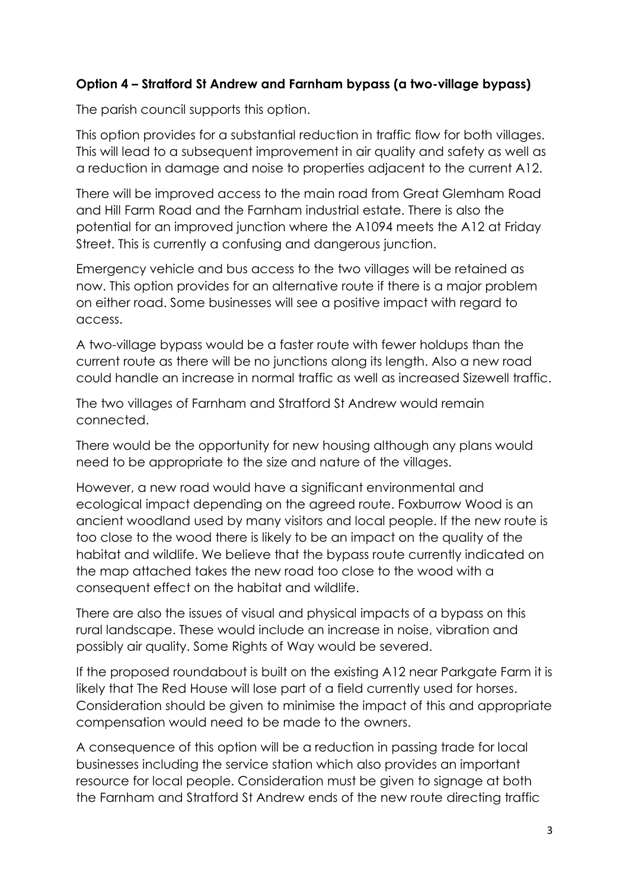## **Option 4 – Stratford St Andrew and Farnham bypass (a two-village bypass)**

The parish council supports this option.

This option provides for a substantial reduction in traffic flow for both villages. This will lead to a subsequent improvement in air quality and safety as well as a reduction in damage and noise to properties adjacent to the current A12.

There will be improved access to the main road from Great Glemham Road and Hill Farm Road and the Farnham industrial estate. There is also the potential for an improved junction where the A1094 meets the A12 at Friday Street. This is currently a confusing and dangerous junction.

Emergency vehicle and bus access to the two villages will be retained as now. This option provides for an alternative route if there is a major problem on either road. Some businesses will see a positive impact with regard to access.

A two-village bypass would be a faster route with fewer holdups than the current route as there will be no junctions along its length. Also a new road could handle an increase in normal traffic as well as increased Sizewell traffic.

The two villages of Farnham and Stratford St Andrew would remain connected.

There would be the opportunity for new housing although any plans would need to be appropriate to the size and nature of the villages.

However, a new road would have a significant environmental and ecological impact depending on the agreed route. Foxburrow Wood is an ancient woodland used by many visitors and local people. If the new route is too close to the wood there is likely to be an impact on the quality of the habitat and wildlife. We believe that the bypass route currently indicated on the map attached takes the new road too close to the wood with a consequent effect on the habitat and wildlife.

There are also the issues of visual and physical impacts of a bypass on this rural landscape. These would include an increase in noise, vibration and possibly air quality. Some Rights of Way would be severed.

If the proposed roundabout is built on the existing A12 near Parkgate Farm it is likely that The Red House will lose part of a field currently used for horses. Consideration should be given to minimise the impact of this and appropriate compensation would need to be made to the owners.

A consequence of this option will be a reduction in passing trade for local businesses including the service station which also provides an important resource for local people. Consideration must be given to signage at both the Farnham and Stratford St Andrew ends of the new route directing traffic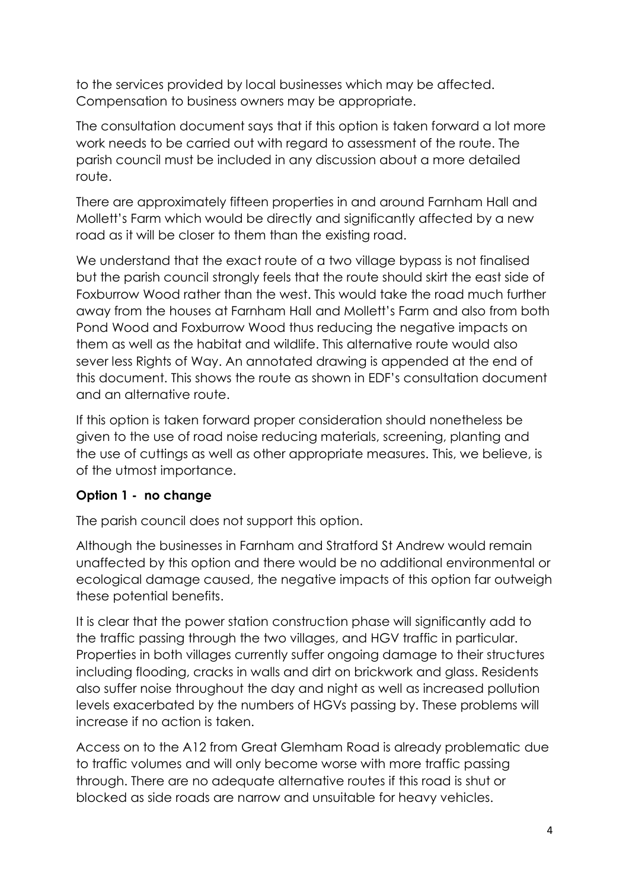to the services provided by local businesses which may be affected. Compensation to business owners may be appropriate.

The consultation document says that if this option is taken forward a lot more work needs to be carried out with regard to assessment of the route. The parish council must be included in any discussion about a more detailed route.

There are approximately fifteen properties in and around Farnham Hall and Mollett's Farm which would be directly and significantly affected by a new road as it will be closer to them than the existing road.

We understand that the exact route of a two village bypass is not finalised but the parish council strongly feels that the route should skirt the east side of Foxburrow Wood rather than the west. This would take the road much further away from the houses at Farnham Hall and Mollett's Farm and also from both Pond Wood and Foxburrow Wood thus reducing the negative impacts on them as well as the habitat and wildlife. This alternative route would also sever less Rights of Way. An annotated drawing is appended at the end of this document. This shows the route as shown in EDF's consultation document and an alternative route.

If this option is taken forward proper consideration should nonetheless be given to the use of road noise reducing materials, screening, planting and the use of cuttings as well as other appropriate measures. This, we believe, is of the utmost importance.

## **Option 1 - no change**

The parish council does not support this option.

Although the businesses in Farnham and Stratford St Andrew would remain unaffected by this option and there would be no additional environmental or ecological damage caused, the negative impacts of this option far outweigh these potential benefits.

It is clear that the power station construction phase will significantly add to the traffic passing through the two villages, and HGV traffic in particular. Properties in both villages currently suffer ongoing damage to their structures including flooding, cracks in walls and dirt on brickwork and glass. Residents also suffer noise throughout the day and night as well as increased pollution levels exacerbated by the numbers of HGVs passing by. These problems will increase if no action is taken.

Access on to the A12 from Great Glemham Road is already problematic due to traffic volumes and will only become worse with more traffic passing through. There are no adequate alternative routes if this road is shut or blocked as side roads are narrow and unsuitable for heavy vehicles.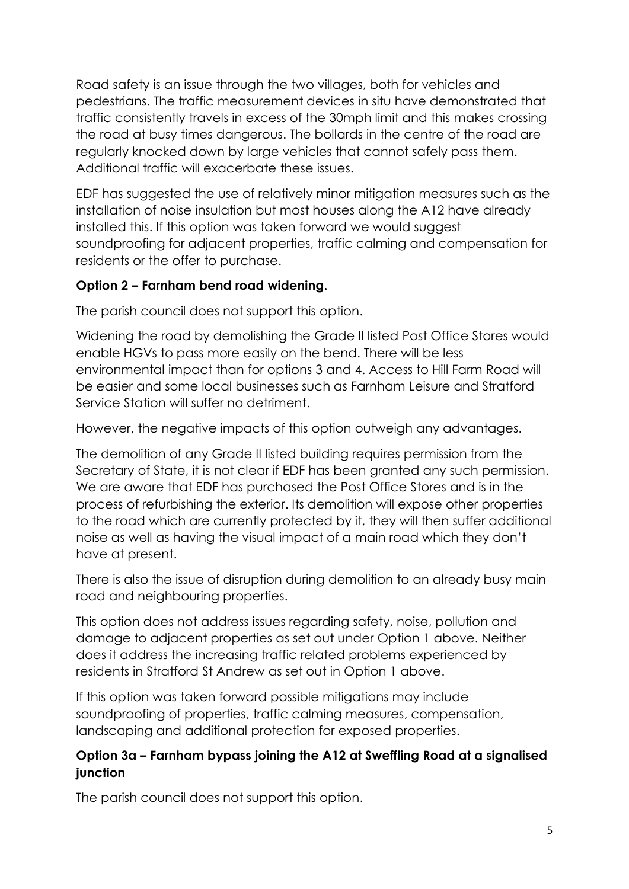Road safety is an issue through the two villages, both for vehicles and pedestrians. The traffic measurement devices in situ have demonstrated that traffic consistently travels in excess of the 30mph limit and this makes crossing the road at busy times dangerous. The bollards in the centre of the road are regularly knocked down by large vehicles that cannot safely pass them. Additional traffic will exacerbate these issues.

EDF has suggested the use of relatively minor mitigation measures such as the installation of noise insulation but most houses along the A12 have already installed this. If this option was taken forward we would suggest soundproofing for adjacent properties, traffic calming and compensation for residents or the offer to purchase.

## **Option 2 – Farnham bend road widening.**

The parish council does not support this option.

Widening the road by demolishing the Grade II listed Post Office Stores would enable HGVs to pass more easily on the bend. There will be less environmental impact than for options 3 and 4. Access to Hill Farm Road will be easier and some local businesses such as Farnham Leisure and Stratford Service Station will suffer no detriment.

However, the negative impacts of this option outweigh any advantages.

The demolition of any Grade II listed building requires permission from the Secretary of State, it is not clear if EDF has been granted any such permission. We are aware that EDF has purchased the Post Office Stores and is in the process of refurbishing the exterior. Its demolition will expose other properties to the road which are currently protected by it, they will then suffer additional noise as well as having the visual impact of a main road which they don't have at present.

There is also the issue of disruption during demolition to an already busy main road and neighbouring properties.

This option does not address issues regarding safety, noise, pollution and damage to adjacent properties as set out under Option 1 above. Neither does it address the increasing traffic related problems experienced by residents in Stratford St Andrew as set out in Option 1 above.

If this option was taken forward possible mitigations may include soundproofing of properties, traffic calming measures, compensation, landscaping and additional protection for exposed properties.

## **Option 3a – Farnham bypass joining the A12 at Sweffling Road at a signalised junction**

The parish council does not support this option.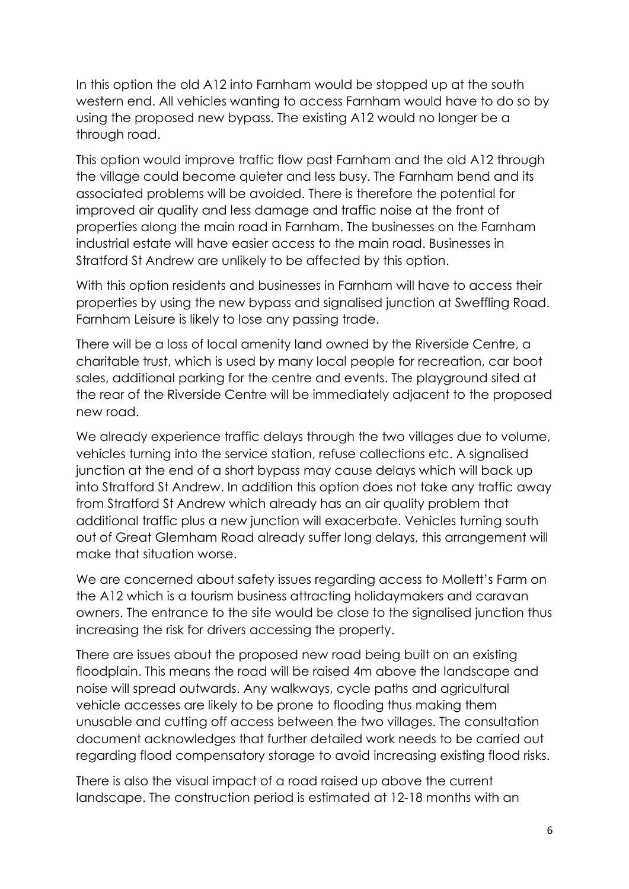In this option the old A12 into Farnham would be stopped up at the south western end. All vehicles wanting to access Farnham would have to do so by using the proposed new bypass. The existing A12 would no longer be a through road.

This option would improve traffic flow past Farnham and the old A12 through the village could become quieter and less busy. The Farnham bend and its associated problems will be avoided. There is therefore the potential for improved air quality and less damage and traffic noise at the front of properties along the main road in Farnham. The businesses on the Farnham industrial estate will have easier access to the main road. Businesses in Stratford St Andrew are unlikely to be affected by this option.

With this option residents and businesses in Farnham will have to access their properties by using the new bypass and signalised junction at Sweffling Road. Farnham Leisure is likely to lose any passing trade.

There will be a loss of local amenity land owned by the Riverside Centre, a charitable trust, which is used by many local people for recreation, car boot sales, additional parking for the centre and events. The playground sited at the rear of the Riverside Centre will be immediately adjacent to the proposed new road.

We already experience traffic delays through the two villages due to volume, vehicles turning into the service station, refuse collections etc. A signalised junction at the end of a short bypass may cause delays which will back up into Stratford St Andrew. In addition this option does not take any traffic away from Stratford St Andrew which already has an air quality problem that additional traffic plus a new junction will exacerbate. Vehicles turning south out of Great Glemham Road already suffer long delays, this arrangement will make that situation worse.

We are concerned about safety issues regarding access to Mollett's Farm on the A12 which is a tourism business attracting holidaymakers and caravan owners. The entrance to the site would be close to the signalised junction thus increasing the risk for drivers accessing the property.

There are issues about the proposed new road being built on an existing floodplain. This means the road will be raised 4m above the landscape and noise will spread outwards. Any walkways, cycle paths and agricultural vehicle accesses are likely to be prone to flooding thus making them unusable and cutting off access between the two villages. The consultation document acknowledges that further detailed work needs to be carried out regarding flood compensatory storage to avoid increasing existing flood risks.

There is also the visual impact of a road raised up above the current landscape. The construction period is estimated at 12-18 months with an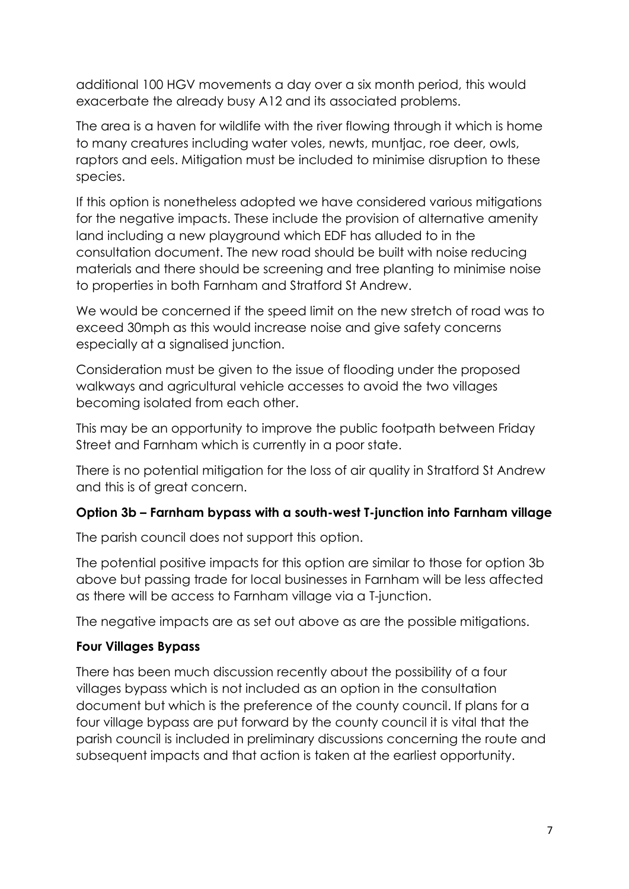additional 100 HGV movements a day over a six month period, this would exacerbate the already busy A12 and its associated problems.

The area is a haven for wildlife with the river flowing through it which is home to many creatures including water voles, newts, muntjac, roe deer, owls, raptors and eels. Mitigation must be included to minimise disruption to these species.

If this option is nonetheless adopted we have considered various mitigations for the negative impacts. These include the provision of alternative amenity land including a new playground which EDF has alluded to in the consultation document. The new road should be built with noise reducing materials and there should be screening and tree planting to minimise noise to properties in both Farnham and Stratford St Andrew.

We would be concerned if the speed limit on the new stretch of road was to exceed 30mph as this would increase noise and give safety concerns especially at a signalised junction.

Consideration must be given to the issue of flooding under the proposed walkways and agricultural vehicle accesses to avoid the two villages becoming isolated from each other.

This may be an opportunity to improve the public footpath between Friday Street and Farnham which is currently in a poor state.

There is no potential mitigation for the loss of air quality in Stratford St Andrew and this is of great concern.

# **Option 3b – Farnham bypass with a south-west T-junction into Farnham village**

The parish council does not support this option.

The potential positive impacts for this option are similar to those for option 3b above but passing trade for local businesses in Farnham will be less affected as there will be access to Farnham village via a T-junction.

The negative impacts are as set out above as are the possible mitigations.

# **Four Villages Bypass**

There has been much discussion recently about the possibility of a four villages bypass which is not included as an option in the consultation document but which is the preference of the county council. If plans for a four village bypass are put forward by the county council it is vital that the parish council is included in preliminary discussions concerning the route and subsequent impacts and that action is taken at the earliest opportunity.